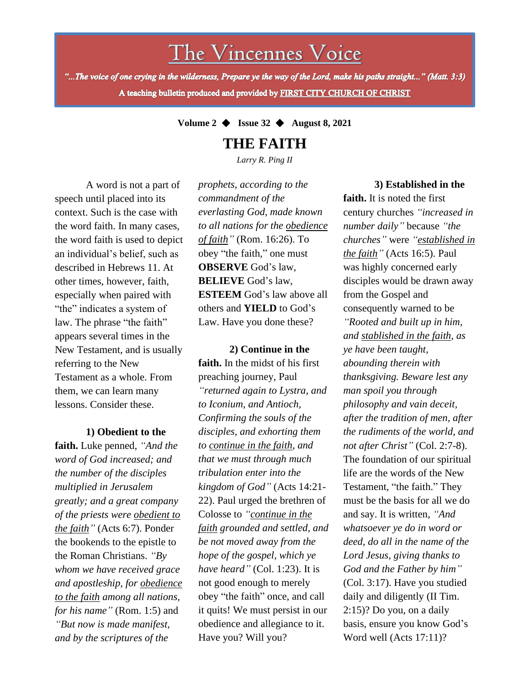The Vincennes Voice

"...The voice of one crying in the wilderness, Prepare ye the way of the Lord, make his paths straight..." (Matt. 3:3) A teaching bulletin produced and provided by FIRST CITY CHURCH OF CHRIST

**Volume 2** ◆ **Issue 32** ◆ **August 8, 2021**

**THE FAITH**

*Larry R. Ping II*

A word is not a part of speech until placed into its context. Such is the case with the word faith. In many cases, the word faith is used to depict an individual's belief, such as described in Hebrews 11. At other times, however, faith, especially when paired with "the" indicates a system of law. The phrase "the faith" appears several times in the New Testament, and is usually referring to the New Testament as a whole. From them, we can learn many lessons. Consider these.

**1) Obedient to the** 

*to the faith among all nations,* **faith.** Luke penned, *"And the word of God increased; and the number of the disciples multiplied in Jerusalem greatly; and a great company of the priests were obedient to the faith"* (Acts 6:7). Ponder the bookends to the epistle to the Roman Christians. *"By whom we have received grace and apostleship, for obedience for his name"* (Rom. 1:5) and *"But now is made manifest, and by the scriptures of the*

*prophets, according to the commandment of the everlasting God, made known to all nations for the obedience of faith"* (Rom. 16:26). To obey "the faith," one must **OBSERVE** God's law, **BELIEVE** God's law, **ESTEEM** God's law above all others and **YIELD** to God's Law. Have you done these?

**2) Continue in the faith.** In the midst of his first preaching journey, Paul *"returned again to Lystra, and to Iconium, and Antioch, Confirming the souls of the disciples, and exhorting them to continue in the faith, and that we must through much tribulation enter into the kingdom of God"* (Acts 14:21- 22). Paul urged the brethren of Colosse to *"continue in the faith grounded and settled, and be not moved away from the hope of the gospel, which ye have heard"* (Col. 1:23). It is not good enough to merely obey "the faith" once, and call it quits! We must persist in our obedience and allegiance to it. Have you? Will you?

## **3) Established in the**

**faith.** It is noted the first century churches *"increased in number daily"* because *"the churches"* were *"established in the faith"* (Acts 16:5). Paul was highly concerned early disciples would be drawn away from the Gospel and consequently warned to be *"Rooted and built up in him, and stablished in the faith, as ye have been taught, abounding therein with thanksgiving. Beware lest any man spoil you through philosophy and vain deceit, after the tradition of men, after the rudiments of the world, and not after Christ"* (Col. 2:7-8). The foundation of our spiritual life are the words of the New Testament, "the faith." They must be the basis for all we do and say. It is written, *"And whatsoever ye do in word or deed, do all in the name of the Lord Jesus, giving thanks to God and the Father by him"* (Col. 3:17). Have you studied daily and diligently (II Tim. 2:15)? Do you, on a daily basis, ensure you know God's Word well (Acts 17:11)?